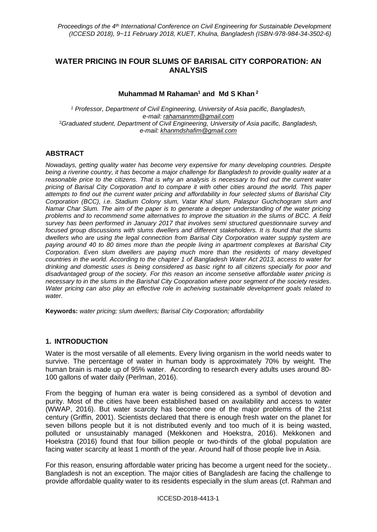# **WATER PRICING IN FOUR SLUMS OF BARISAL CITY CORPORATION: AN ANALYSIS**

# **Muhammad M Rahaman<sup>1</sup> and Md S Khan <sup>2</sup>**

*<sup>1</sup> Professor, Department of Civil Engineering, University of Asia pacific, Bangladesh, e-mail: [rahamanmm@gmail.com](mailto:rahamanmm@gmail.com)*  <sup>2</sup>*Graduated student, Department of Civil Engineering, University of Asia pacific, Bangladesh, e-mail: [khanmdshafim@gmail.com](mailto:khanmdshafim@gmail.com)*

# **ABSTRACT**

*Nowadays, getting quality water has become very expensive for many developing countries. Despite being a riverine country, it has become a major challenge for Bangladesh to provide quality water at a reasonable price to the citizens. That is why an analysis is necessary to find out the current water pricing of Barisal City Corporation and to compare it with other cities around the world. This paper attempts to find out the current water pricing and affordability in four selected slums of Barishal City Corporation (BCC), i.e. Stadium Colony slum, Vatar Khal slum, Palaspur Guchchogram slum and Namar Char Slum. The aim of the paper is to generate a deeper understanding of the water pricing problems and to recommend some alternatives to improve the situation in the slums of BCC. A field survey has been performed in January 2017 that involves semi structured questionnaire survey and focused group discussions with slums dwellers and different stakeholders. It is found that the slums dwellers who are using the legal connection from Barisal City Corporation water supply system are paying around 40 to 80 times more than the people living in apartment complexes at Barishal City Corporation. Even slum dwellers are paying much more than the residents of many developed countries in the world. According to the chapter 1 of Bangladesh Water Act 2013, access to water for drinking and domestic uses is being considered as basic right to all citizens specially for poor and disadvantaged group of the society. For this reason an income sensetive affordable water pricing is necessary to in the slums in the Barishal City Cooporation where poor segment of the society resides. Water pricing can also play an effective role in acheiving sustainable development goals related to water.*

**Keywords:** *water pricing; slum dwellers; Barisal City Corporation; affordability*

# **1. INTRODUCTION**

Water is the most versatile of all elements. Every living organism in the world needs water to survive. The percentage of water in human body is approximately 70% by weight. The human brain is made up of 95% water. According to research every adults uses around 80- 100 gallons of water daily (Perlman, 2016).

From the begging of human era water is being considered as a symbol of devotion and purity. Most of the cities have been established based on availability and access to water (WWAP, 2016). But water scarcity has become one of the major problems of the 21st century (Griffin, 2001). Scientists declared that there is enough fresh water on the planet for seven billons people but it is not distributed evenly and too much of it is being wasted, polluted or unsustainably managed (Mekkonen and Hoekstra, 2016). Mekkonen and Hoekstra (2016) found that four billion people or two-thirds of the global population are facing water scarcity at least 1 month of the year. Around half of those people live in Asia.

For this reason, ensuring affordable water pricing has become a urgent need for the society.. Bangladesh is not an exception. The major cities of Bangladesh are facing the challenge to provide affordable quality water to its residents especially in the slum areas (cf. Rahman and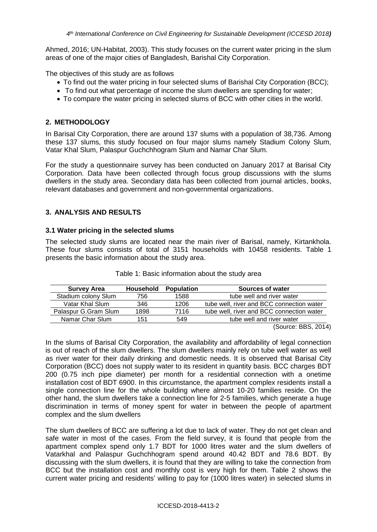Ahmed, 2016; UN-Habitat, 2003). This study focuses on the current water pricing in the slum areas of one of the major cities of Bangladesh, Barishal City Corporation.

The objectives of this study are as follows

- To find out the water pricing in four selected slums of Barishal City Corporation (BCC);
- To find out what percentage of income the slum dwellers are spending for water;
- To compare the water pricing in selected slums of BCC with other cities in the world.

### **2. METHODOLOGY**

In Barisal City Corporation, there are around 137 slums with a population of 38,736. Among these 137 slums, this study focused on four major slums namely Stadium Colony Slum, Vatar Khal Slum, Palaspur Guchchhogram Slum and Namar Char Slum.

For the study a questionnaire survey has been conducted on January 2017 at Barisal City Corporation. Data have been collected through focus group discussions with the slums dwellers in the study area. Secondary data has been collected from journal articles, books, relevant databases and government and non-governmental organizations.

# **3. ANALYSIS AND RESULTS**

#### **3.1 Water pricing in the selected slums**

The selected study slums are located near the main river of Barisal, namely, Kirtankhola. These four slums consists of total of 3151 households with 10458 residents. Table 1 presents the basic information about the study area.

| <b>Survey Area</b>   | <b>Household</b> | <b>Population</b> | Sources of water                          |
|----------------------|------------------|-------------------|-------------------------------------------|
| Stadium colony Slum  | 756              | 1588              | tube well and river water                 |
| Vatar Khal Slum      | 346              | 1206              | tube well, river and BCC connection water |
| Palaspur G.Gram Slum | 1898             | 7116              | tube well, river and BCC connection water |
| Namar Char Slum      | 151              | 549               | tube well and river water                 |
|                      |                  |                   | $\overline{\phantom{a}}$                  |

|  |  | Table 1: Basic information about the study area |  |  |  |  |
|--|--|-------------------------------------------------|--|--|--|--|
|--|--|-------------------------------------------------|--|--|--|--|

(Source: BBS, 2014)

In the slums of Barisal City Corporation, the availability and affordability of legal connection is out of reach of the slum dwellers. The slum dwellers mainly rely on tube well water as well as river water for their daily drinking and domestic needs. It is observed that Barisal City Corporation (BCC) does not supply water to its resident in quantity basis. BCC charges BDT 200 (0.75 inch pipe diameter) per month for a residential connection with a onetime installation cost of BDT 6900. In this circumstance, the apartment complex residents install a single connection line for the whole building where almost 10-20 families reside. On the other hand, the slum dwellers take a connection line for 2-5 families, which generate a huge discrimination in terms of money spent for water in between the people of apartment complex and the slum dwellers

The slum dwellers of BCC are suffering a lot due to lack of water. They do not get clean and safe water in most of the cases. From the field survey, it is found that people from the apartment complex spend only 1.7 BDT for 1000 litres water and the slum dwellers of Vatarkhal and Palaspur Guchchhogram spend around 40.42 BDT and 78.6 BDT. By discussing with the slum dwellers, it is found that they are willing to take the connection from BCC but the installation cost and monthly cost is very high for them. Table 2 shows the current water pricing and residents' willing to pay for (1000 litres water) in selected slums in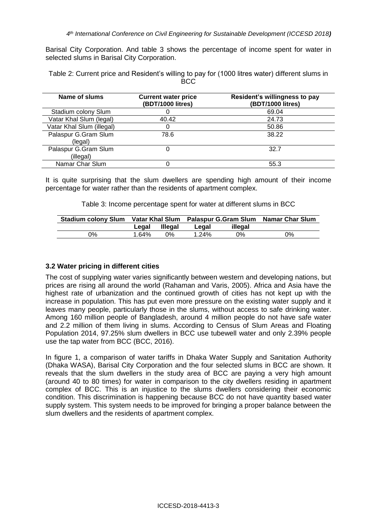Barisal City Corporation. And table 3 shows the percentage of income spent for water in selected slums in Barisal City Corporation.

Table 2: Current price and Resident's willing to pay for (1000 litres water) different slums in BCC

| Name of slums                     | <b>Current water price</b><br>(BDT/1000 litres) | Resident's willingness to pay<br>(BDT/1000 litres) |
|-----------------------------------|-------------------------------------------------|----------------------------------------------------|
| Stadium colony Slum               |                                                 | 69.04                                              |
| Vatar Khal Slum (legal)           | 40.42                                           | 24.73                                              |
| Vatar Khal Slum (illegal)         |                                                 | 50.86                                              |
| Palaspur G.Gram Slum<br>(legal)   | 78.6                                            | 38.22                                              |
| Palaspur G.Gram Slum<br>(illegal) |                                                 | 32.7                                               |
| Namar Char Slum                   |                                                 | 55.3                                               |

It is quite surprising that the slum dwellers are spending high amount of their income percentage for water rather than the residents of apartment complex.

Table 3: Income percentage spent for water at different slums in BCC

|    |       |                | Stadium colony Slum Vatar Khal Slum Palaspur G.Gram Slum Namar Char Slum |         |    |
|----|-------|----------------|--------------------------------------------------------------------------|---------|----|
|    | Legal | <b>Illegal</b> | Legal                                                                    | illegal |    |
| ገ% | 1.64% | $0\%$          | $1.24\%$                                                                 | 0%      | 0% |

### **3.2 Water pricing in different cities**

The cost of supplying water varies significantly between western and developing nations, but prices are rising all around the world (Rahaman and Varis, 2005). Africa and Asia have the highest rate of urbanization and the continued growth of cities has not kept up with the increase in population. This has put even more pressure on the existing water supply and it leaves many people, particularly those in the slums, without access to safe drinking water. Among 160 million people of Bangladesh, around 4 million people do not have safe water and 2.2 million of them living in slums. According to Census of Slum Areas and Floating Population 2014, 97.25% slum dwellers in BCC use tubewell water and only 2.39% people use the tap water from BCC (BCC, 2016).

In figure 1, a comparison of water tariffs in Dhaka Water Supply and Sanitation Authority (Dhaka WASA), Barisal City Corporation and the four selected slums in BCC are shown. It reveals that the slum dwellers in the study area of BCC are paying a very high amount (around 40 to 80 times) for water in comparison to the city dwellers residing in apartment complex of BCC. This is an injustice to the slums dwellers considering their economic condition. This discrimination is happening because BCC do not have quantity based water supply system. This system needs to be improved for bringing a proper balance between the slum dwellers and the residents of apartment complex.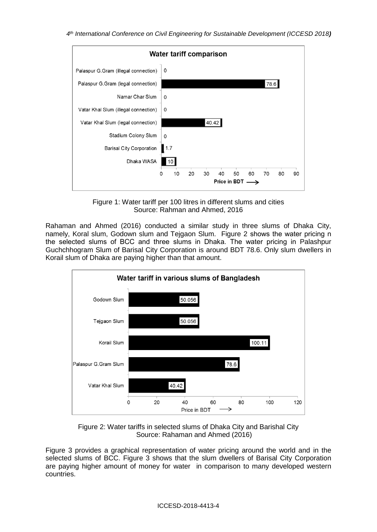

Figure 1: Water tariff per 100 litres in different slums and cities Source: Rahman and Ahmed, 2016

Rahaman and Ahmed (2016) conducted a similar study in three slums of Dhaka City, namely, Koral slum, Godown slum and Tejgaon Slum. Figure 2 shows the water pricing n the selected slums of BCC and three slums in Dhaka. The water pricing in Palashpur Guchchhogram Slum of Barisal City Corporation is around BDT 78.6. Only slum dwellers in Korail slum of Dhaka are paying higher than that amount.



Figure 2: Water tariffs in selected slums of Dhaka City and Barishal City Source: Rahaman and Ahmed (2016)

Figure 3 provides a graphical representation of water pricing around the world and in the selected slums of BCC. Figure 3 shows that the slum dwellers of Barisal City Corporation are paying higher amount of money for water in comparison to many developed western countries.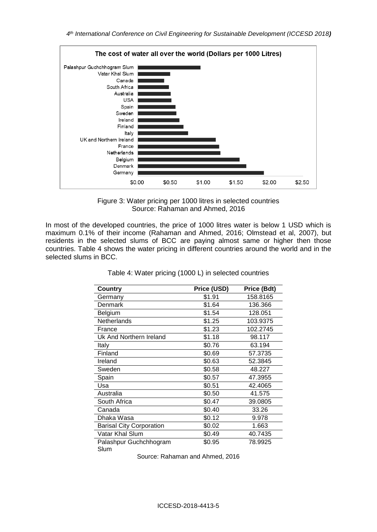

Figure 3: Water pricing per 1000 litres in selected countries Source: Rahaman and Ahmed, 2016

In most of the developed countries, the price of 1000 litres water is below 1 USD which is maximum 0.1% of their income (Rahaman and Ahmed, 2016; Olmstead et al, 2007), but residents in the selected slums of BCC are paying almost same or higher then those countries. Table 4 shows the water pricing in different countries around the world and in the selected slums in BCC.

| Country                         | Price (USD) | Price (Bdt) |
|---------------------------------|-------------|-------------|
| Germany                         | \$1.91      | 158.8165    |
| Denmark                         | \$1.64      | 136.366     |
| Belgium                         | \$1.54      | 128.051     |
| Netherlands                     | \$1.25      | 103.9375    |
| France                          | \$1.23      | 102.2745    |
| Uk And Northern Ireland         | \$1.18      | 98.117      |
| Italy                           | \$0.76      | 63.194      |
| Finland                         | \$0.69      | 57.3735     |
| Ireland                         | \$0.63      | 52.3845     |
| Sweden                          | \$0.58      | 48.227      |
| Spain                           | \$0.57      | 47.3955     |
| Usa                             | \$0.51      | 42.4065     |
| Australia                       | \$0.50      | 41.575      |
| South Africa                    | \$0.47      | 39.0805     |
| Canada                          | \$0.40      | 33.26       |
| Dhaka Wasa                      | \$0.12      | 9.978       |
| <b>Barisal City Corporation</b> | \$0.02      | 1.663       |
| Vatar Khal Slum                 | \$0.49      | 40.7435     |
| Palashpur Guchchhogram          | \$0.95      | 78.9925     |
| Slum                            |             |             |

Table 4: Water pricing (1000 L) in selected countries

Source: Rahaman and Ahmed, 2016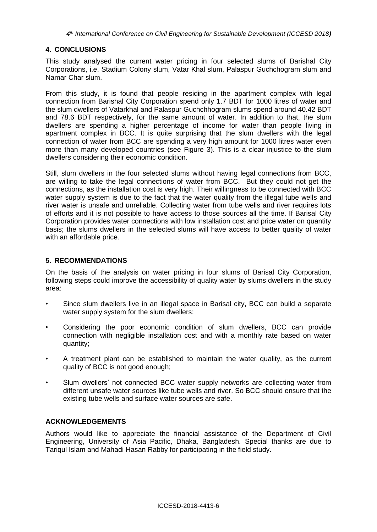# **4. CONCLUSIONS**

This study analysed the current water pricing in four selected slums of Barishal City Corporations, i.e. Stadium Colony slum, Vatar Khal slum, Palaspur Guchchogram slum and Namar Char slum.

From this study, it is found that people residing in the apartment complex with legal connection from Barishal City Corporation spend only 1.7 BDT for 1000 litres of water and the slum dwellers of Vatarkhal and Palaspur Guchchhogram slums spend around 40.42 BDT and 78.6 BDT respectively, for the same amount of water. In addition to that, the slum dwellers are spending a higher percentage of income for water than people living in apartment complex in BCC. It is quite surprising that the slum dwellers with the legal connection of water from BCC are spending a very high amount for 1000 litres water even more than many developed countries (see Figure 3). This is a clear injustice to the slum dwellers considering their economic condition.

Still, slum dwellers in the four selected slums without having legal connections from BCC, are willing to take the legal connections of water from BCC. But they could not get the connections, as the installation cost is very high. Their willingness to be connected with BCC water supply system is due to the fact that the water quality from the illegal tube wells and river water is unsafe and unreliable. Collecting water from tube wells and river requires lots of efforts and it is not possible to have access to those sources all the time. If Barisal City Corporation provides water connections with low installation cost and price water on quantity basis; the slums dwellers in the selected slums will have access to better quality of water with an affordable price.

### **5. RECOMMENDATIONS**

On the basis of the analysis on water pricing in four slums of Barisal City Corporation, following steps could improve the accessibility of quality water by slums dwellers in the study area:

- Since slum dwellers live in an illegal space in Barisal city, BCC can build a separate water supply system for the slum dwellers;
- Considering the poor economic condition of slum dwellers, BCC can provide connection with negligible installation cost and with a monthly rate based on water quantity;
- A treatment plant can be established to maintain the water quality, as the current quality of BCC is not good enough;
- Slum dwellers' not connected BCC water supply networks are collecting water from different unsafe water sources like tube wells and river. So BCC should ensure that the existing tube wells and surface water sources are safe.

#### **ACKNOWLEDGEMENTS**

Authors would like to appreciate the financial assistance of the Department of Civil Engineering, University of Asia Pacific, Dhaka, Bangladesh. Special thanks are due to Tariqul Islam and Mahadi Hasan Rabby for participating in the field study.